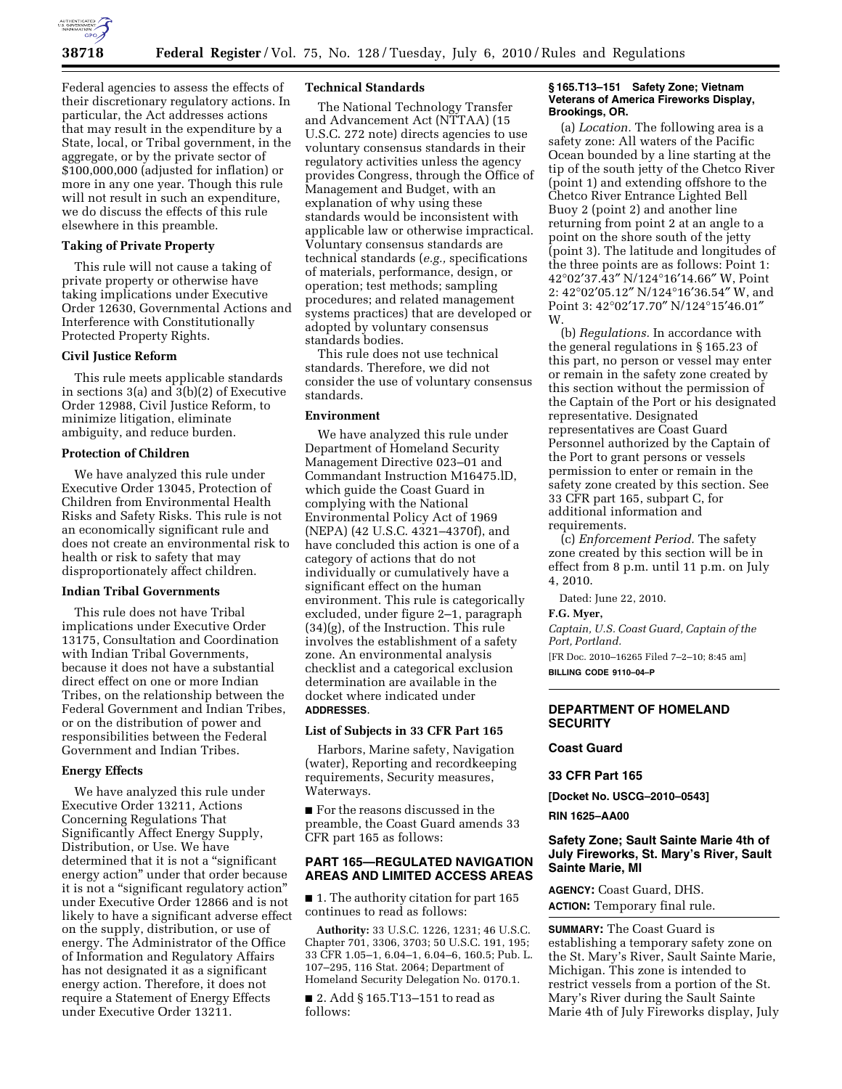

Federal agencies to assess the effects of their discretionary regulatory actions. In particular, the Act addresses actions that may result in the expenditure by a State, local, or Tribal government, in the aggregate, or by the private sector of \$100,000,000 (adjusted for inflation) or more in any one year. Though this rule will not result in such an expenditure, we do discuss the effects of this rule elsewhere in this preamble.

### **Taking of Private Property**

This rule will not cause a taking of private property or otherwise have taking implications under Executive Order 12630, Governmental Actions and Interference with Constitutionally Protected Property Rights.

# **Civil Justice Reform**

This rule meets applicable standards in sections 3(a) and 3(b)(2) of Executive Order 12988, Civil Justice Reform, to minimize litigation, eliminate ambiguity, and reduce burden.

# **Protection of Children**

We have analyzed this rule under Executive Order 13045, Protection of Children from Environmental Health Risks and Safety Risks. This rule is not an economically significant rule and does not create an environmental risk to health or risk to safety that may disproportionately affect children.

### **Indian Tribal Governments**

This rule does not have Tribal implications under Executive Order 13175, Consultation and Coordination with Indian Tribal Governments, because it does not have a substantial direct effect on one or more Indian Tribes, on the relationship between the Federal Government and Indian Tribes, or on the distribution of power and responsibilities between the Federal Government and Indian Tribes.

# **Energy Effects**

We have analyzed this rule under Executive Order 13211, Actions Concerning Regulations That Significantly Affect Energy Supply, Distribution, or Use. We have determined that it is not a "significant energy action'' under that order because it is not a ''significant regulatory action'' under Executive Order 12866 and is not likely to have a significant adverse effect on the supply, distribution, or use of energy. The Administrator of the Office of Information and Regulatory Affairs has not designated it as a significant energy action. Therefore, it does not require a Statement of Energy Effects under Executive Order 13211.

#### **Technical Standards**

The National Technology Transfer and Advancement Act (NTTAA) (15 U.S.C. 272 note) directs agencies to use voluntary consensus standards in their regulatory activities unless the agency provides Congress, through the Office of Management and Budget, with an explanation of why using these standards would be inconsistent with applicable law or otherwise impractical. Voluntary consensus standards are technical standards (*e.g.,* specifications of materials, performance, design, or operation; test methods; sampling procedures; and related management systems practices) that are developed or adopted by voluntary consensus standards bodies.

This rule does not use technical standards. Therefore, we did not consider the use of voluntary consensus standards.

### **Environment**

We have analyzed this rule under Department of Homeland Security Management Directive 023–01 and Commandant Instruction M16475.lD, which guide the Coast Guard in complying with the National Environmental Policy Act of 1969 (NEPA) (42 U.S.C. 4321–4370f), and have concluded this action is one of a category of actions that do not individually or cumulatively have a significant effect on the human environment. This rule is categorically excluded, under figure 2–1, paragraph (34)(g), of the Instruction. This rule involves the establishment of a safety zone. An environmental analysis checklist and a categorical exclusion determination are available in the docket where indicated under **ADDRESSES**.

#### **List of Subjects in 33 CFR Part 165**

Harbors, Marine safety, Navigation (water), Reporting and recordkeeping requirements, Security measures, Waterways.

■ For the reasons discussed in the preamble, the Coast Guard amends 33 CFR part 165 as follows:

# **PART 165—REGULATED NAVIGATION AREAS AND LIMITED ACCESS AREAS**

■ 1. The authority citation for part 165 continues to read as follows:

**Authority:** 33 U.S.C. 1226, 1231; 46 U.S.C. Chapter 701, 3306, 3703; 50 U.S.C. 191, 195; 33 CFR 1.05–1, 6.04–1, 6.04–6, 160.5; Pub. L. 107–295, 116 Stat. 2064; Department of Homeland Security Delegation No. 0170.1.

■ 2. Add § 165.T13–151 to read as follows:

### **§ 165.T13–151 Safety Zone; Vietnam Veterans of America Fireworks Display, Brookings, OR.**

(a) *Location.* The following area is a safety zone: All waters of the Pacific Ocean bounded by a line starting at the tip of the south jetty of the Chetco River (point 1) and extending offshore to the Chetco River Entrance Lighted Bell Buoy 2 (point 2) and another line returning from point 2 at an angle to a point on the shore south of the jetty (point 3). The latitude and longitudes of the three points are as follows: Point 1: 42°02′37.43″ N/124°16′14.66″ W, Point 2: 42°02′05.12″ N/124°16′36.54″ W, and Point 3: 42°02′17.70″ N/124°15′46.01″ W.

(b) *Regulations.* In accordance with the general regulations in § 165.23 of this part, no person or vessel may enter or remain in the safety zone created by this section without the permission of the Captain of the Port or his designated representative. Designated representatives are Coast Guard Personnel authorized by the Captain of the Port to grant persons or vessels permission to enter or remain in the safety zone created by this section. See 33 CFR part 165, subpart C, for additional information and requirements.

(c) *Enforcement Period.* The safety zone created by this section will be in effect from 8 p.m. until 11 p.m. on July 4, 2010.

Dated: June 22, 2010.

## **F.G. Myer,**

*Captain, U.S. Coast Guard, Captain of the Port, Portland.* 

[FR Doc. 2010–16265 Filed 7–2–10; 8:45 am] **BILLING CODE 9110–04–P** 

# **DEPARTMENT OF HOMELAND SECURITY**

# **Coast Guard**

**33 CFR Part 165** 

**[Docket No. USCG–2010–0543]** 

**RIN 1625–AA00** 

# **Safety Zone; Sault Sainte Marie 4th of July Fireworks, St. Mary's River, Sault Sainte Marie, MI**

**AGENCY:** Coast Guard, DHS. **ACTION:** Temporary final rule.

**SUMMARY:** The Coast Guard is establishing a temporary safety zone on the St. Mary's River, Sault Sainte Marie, Michigan. This zone is intended to restrict vessels from a portion of the St. Mary's River during the Sault Sainte Marie 4th of July Fireworks display, July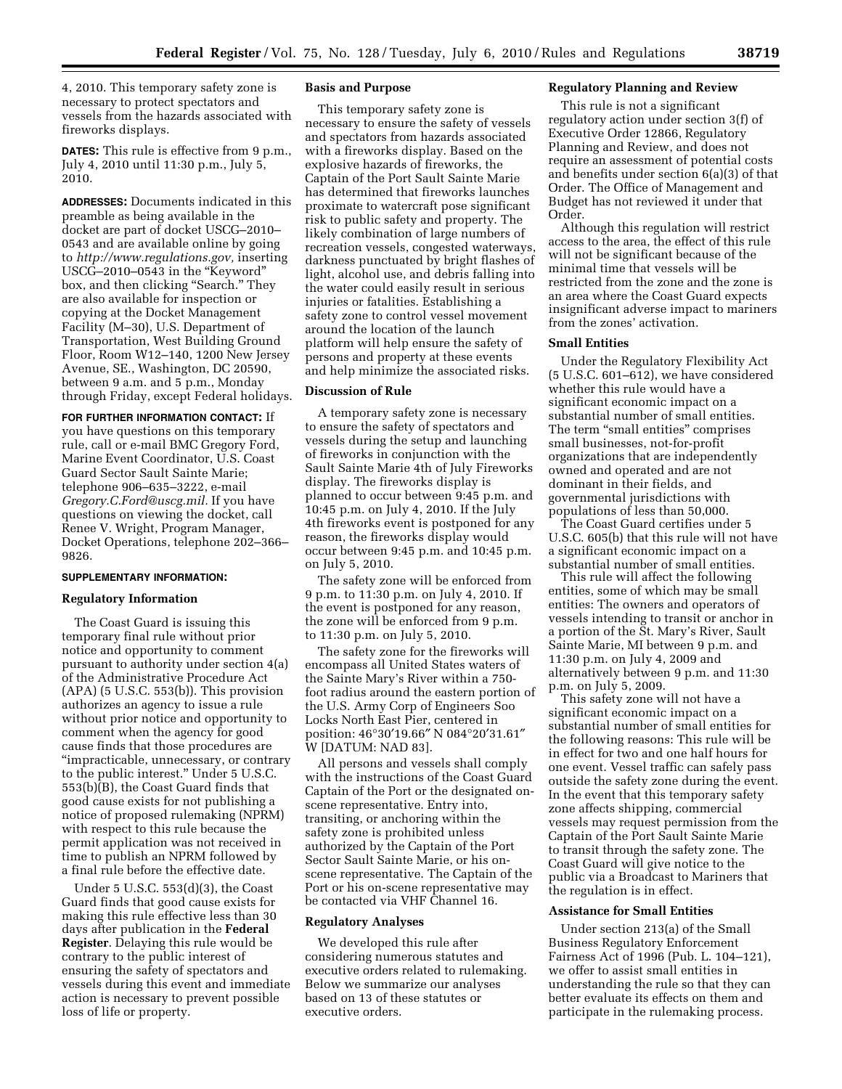4, 2010. This temporary safety zone is necessary to protect spectators and vessels from the hazards associated with fireworks displays.

**DATES:** This rule is effective from 9 p.m., July 4, 2010 until 11:30 p.m., July 5, 2010.

**ADDRESSES:** Documents indicated in this preamble as being available in the docket are part of docket USCG–2010– 0543 and are available online by going to *http://www.regulations.gov,* inserting USCG–2010–0543 in the ''Keyword'' box, and then clicking "Search." They are also available for inspection or copying at the Docket Management Facility (M–30), U.S. Department of Transportation, West Building Ground Floor, Room W12–140, 1200 New Jersey Avenue, SE., Washington, DC 20590, between 9 a.m. and 5 p.m., Monday through Friday, except Federal holidays.

#### **FOR FURTHER INFORMATION CONTACT:** If

you have questions on this temporary rule, call or e-mail BMC Gregory Ford, Marine Event Coordinator, U.S. Coast Guard Sector Sault Sainte Marie; telephone 906–635–3222, e-mail *Gregory.C.Ford@uscg.mil.* If you have questions on viewing the docket, call Renee V. Wright, Program Manager, Docket Operations, telephone 202–366– 9826.

#### **SUPPLEMENTARY INFORMATION:**

#### **Regulatory Information**

The Coast Guard is issuing this temporary final rule without prior notice and opportunity to comment pursuant to authority under section 4(a) of the Administrative Procedure Act  $(APA)$  (5 U.S.C. 553(b)). This provision authorizes an agency to issue a rule without prior notice and opportunity to comment when the agency for good cause finds that those procedures are ''impracticable, unnecessary, or contrary to the public interest.'' Under 5 U.S.C. 553(b)(B), the Coast Guard finds that good cause exists for not publishing a notice of proposed rulemaking (NPRM) with respect to this rule because the permit application was not received in time to publish an NPRM followed by a final rule before the effective date.

Under 5 U.S.C. 553(d)(3), the Coast Guard finds that good cause exists for making this rule effective less than 30 days after publication in the **Federal Register**. Delaying this rule would be contrary to the public interest of ensuring the safety of spectators and vessels during this event and immediate action is necessary to prevent possible loss of life or property.

#### **Basis and Purpose**

This temporary safety zone is necessary to ensure the safety of vessels and spectators from hazards associated with a fireworks display. Based on the explosive hazards of fireworks, the Captain of the Port Sault Sainte Marie has determined that fireworks launches proximate to watercraft pose significant risk to public safety and property. The likely combination of large numbers of recreation vessels, congested waterways, darkness punctuated by bright flashes of light, alcohol use, and debris falling into the water could easily result in serious injuries or fatalities. Establishing a safety zone to control vessel movement around the location of the launch platform will help ensure the safety of persons and property at these events and help minimize the associated risks.

#### **Discussion of Rule**

A temporary safety zone is necessary to ensure the safety of spectators and vessels during the setup and launching of fireworks in conjunction with the Sault Sainte Marie 4th of July Fireworks display. The fireworks display is planned to occur between 9:45 p.m. and 10:45 p.m. on July 4, 2010. If the July 4th fireworks event is postponed for any reason, the fireworks display would occur between 9:45 p.m. and 10:45 p.m. on July 5, 2010.

The safety zone will be enforced from 9 p.m. to 11:30 p.m. on July 4, 2010. If the event is postponed for any reason, the zone will be enforced from 9 p.m. to 11:30 p.m. on July 5, 2010.

The safety zone for the fireworks will encompass all United States waters of the Sainte Mary's River within a 750 foot radius around the eastern portion of the U.S. Army Corp of Engineers Soo Locks North East Pier, centered in position: 46°30′19.66″ N 084°20′31.61″ W [DATUM: NAD 83].

All persons and vessels shall comply with the instructions of the Coast Guard Captain of the Port or the designated onscene representative. Entry into, transiting, or anchoring within the safety zone is prohibited unless authorized by the Captain of the Port Sector Sault Sainte Marie, or his onscene representative. The Captain of the Port or his on-scene representative may be contacted via VHF Channel 16.

#### **Regulatory Analyses**

We developed this rule after considering numerous statutes and executive orders related to rulemaking. Below we summarize our analyses based on 13 of these statutes or executive orders.

# **Regulatory Planning and Review**

This rule is not a significant regulatory action under section 3(f) of Executive Order 12866, Regulatory Planning and Review, and does not require an assessment of potential costs and benefits under section 6(a)(3) of that Order. The Office of Management and Budget has not reviewed it under that Order.

Although this regulation will restrict access to the area, the effect of this rule will not be significant because of the minimal time that vessels will be restricted from the zone and the zone is an area where the Coast Guard expects insignificant adverse impact to mariners from the zones' activation.

#### **Small Entities**

Under the Regulatory Flexibility Act (5 U.S.C. 601–612), we have considered whether this rule would have a significant economic impact on a substantial number of small entities. The term "small entities" comprises small businesses, not-for-profit organizations that are independently owned and operated and are not dominant in their fields, and governmental jurisdictions with populations of less than 50,000.

The Coast Guard certifies under 5 U.S.C. 605(b) that this rule will not have a significant economic impact on a substantial number of small entities.

This rule will affect the following entities, some of which may be small entities: The owners and operators of vessels intending to transit or anchor in a portion of the St. Mary's River, Sault Sainte Marie, MI between 9 p.m. and 11:30 p.m. on July 4, 2009 and alternatively between 9 p.m. and 11:30 p.m. on July 5, 2009.

This safety zone will not have a significant economic impact on a substantial number of small entities for the following reasons: This rule will be in effect for two and one half hours for one event. Vessel traffic can safely pass outside the safety zone during the event. In the event that this temporary safety zone affects shipping, commercial vessels may request permission from the Captain of the Port Sault Sainte Marie to transit through the safety zone. The Coast Guard will give notice to the public via a Broadcast to Mariners that the regulation is in effect.

### **Assistance for Small Entities**

Under section 213(a) of the Small Business Regulatory Enforcement Fairness Act of 1996 (Pub. L. 104–121), we offer to assist small entities in understanding the rule so that they can better evaluate its effects on them and participate in the rulemaking process.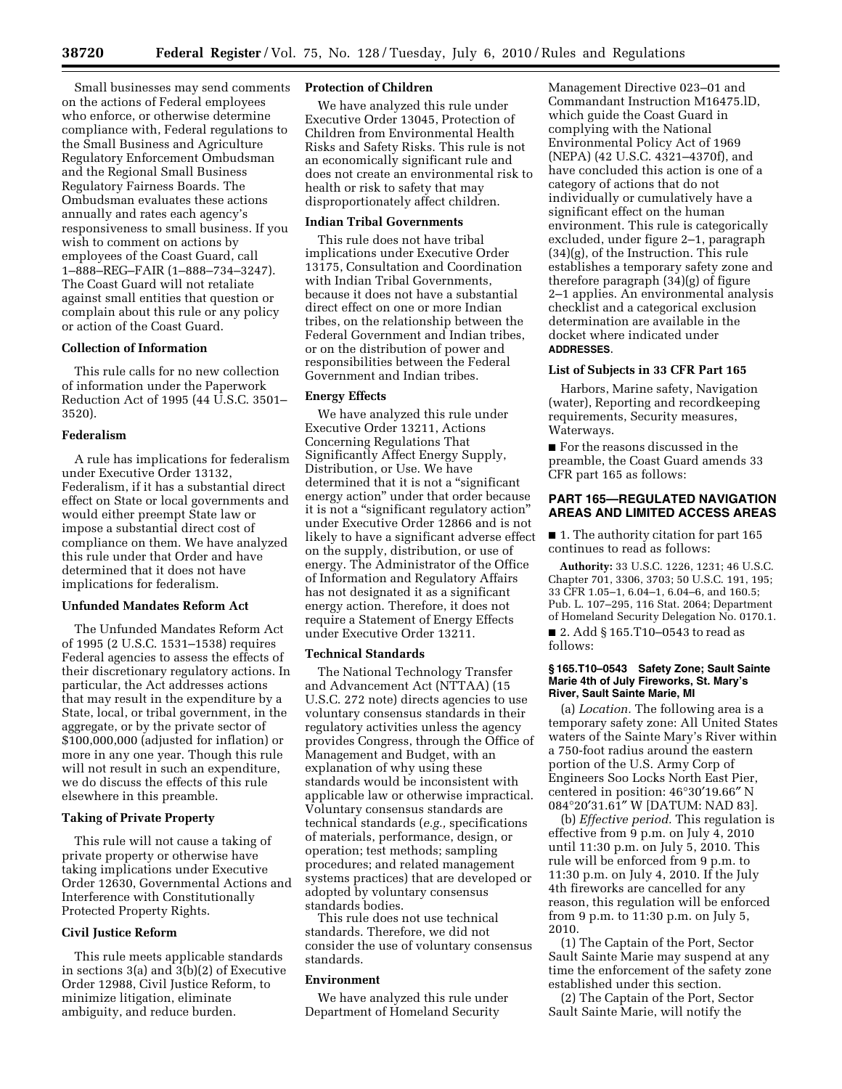Small businesses may send comments on the actions of Federal employees who enforce, or otherwise determine compliance with, Federal regulations to the Small Business and Agriculture Regulatory Enforcement Ombudsman and the Regional Small Business Regulatory Fairness Boards. The Ombudsman evaluates these actions annually and rates each agency's responsiveness to small business. If you wish to comment on actions by employees of the Coast Guard, call 1–888–REG–FAIR (1–888–734–3247). The Coast Guard will not retaliate against small entities that question or complain about this rule or any policy or action of the Coast Guard.

#### **Collection of Information**

This rule calls for no new collection of information under the Paperwork Reduction Act of 1995 (44 U.S.C. 3501– 3520).

### **Federalism**

A rule has implications for federalism under Executive Order 13132, Federalism, if it has a substantial direct effect on State or local governments and would either preempt State law or impose a substantial direct cost of compliance on them. We have analyzed this rule under that Order and have determined that it does not have implications for federalism.

#### **Unfunded Mandates Reform Act**

The Unfunded Mandates Reform Act of 1995 (2 U.S.C. 1531–1538) requires Federal agencies to assess the effects of their discretionary regulatory actions. In particular, the Act addresses actions that may result in the expenditure by a State, local, or tribal government, in the aggregate, or by the private sector of \$100,000,000 (adjusted for inflation) or more in any one year. Though this rule will not result in such an expenditure, we do discuss the effects of this rule elsewhere in this preamble.

# **Taking of Private Property**

This rule will not cause a taking of private property or otherwise have taking implications under Executive Order 12630, Governmental Actions and Interference with Constitutionally Protected Property Rights.

### **Civil Justice Reform**

This rule meets applicable standards in sections 3(a) and  $3(b)(2)$  of Executive Order 12988, Civil Justice Reform, to minimize litigation, eliminate ambiguity, and reduce burden.

#### **Protection of Children**

We have analyzed this rule under Executive Order 13045, Protection of Children from Environmental Health Risks and Safety Risks. This rule is not an economically significant rule and does not create an environmental risk to health or risk to safety that may disproportionately affect children.

### **Indian Tribal Governments**

This rule does not have tribal implications under Executive Order 13175, Consultation and Coordination with Indian Tribal Governments, because it does not have a substantial direct effect on one or more Indian tribes, on the relationship between the Federal Government and Indian tribes, or on the distribution of power and responsibilities between the Federal Government and Indian tribes.

#### **Energy Effects**

We have analyzed this rule under Executive Order 13211, Actions Concerning Regulations That Significantly Affect Energy Supply, Distribution, or Use. We have determined that it is not a "significant energy action'' under that order because it is not a ''significant regulatory action'' under Executive Order 12866 and is not likely to have a significant adverse effect on the supply, distribution, or use of energy. The Administrator of the Office of Information and Regulatory Affairs has not designated it as a significant energy action. Therefore, it does not require a Statement of Energy Effects under Executive Order 13211.

#### **Technical Standards**

The National Technology Transfer and Advancement Act (NTTAA) (15 U.S.C. 272 note) directs agencies to use voluntary consensus standards in their regulatory activities unless the agency provides Congress, through the Office of Management and Budget, with an explanation of why using these standards would be inconsistent with applicable law or otherwise impractical. Voluntary consensus standards are technical standards (*e.g.,* specifications of materials, performance, design, or operation; test methods; sampling procedures; and related management systems practices) that are developed or adopted by voluntary consensus standards bodies.

This rule does not use technical standards. Therefore, we did not consider the use of voluntary consensus standards.

#### **Environment**

We have analyzed this rule under Department of Homeland Security

Management Directive 023–01 and Commandant Instruction M16475.lD, which guide the Coast Guard in complying with the National Environmental Policy Act of 1969 (NEPA) (42 U.S.C. 4321–4370f), and have concluded this action is one of a category of actions that do not individually or cumulatively have a significant effect on the human environment. This rule is categorically excluded, under figure 2–1, paragraph (34)(g), of the Instruction. This rule establishes a temporary safety zone and therefore paragraph (34)(g) of figure 2–1 applies. An environmental analysis checklist and a categorical exclusion determination are available in the docket where indicated under **ADDRESSES**.

# **List of Subjects in 33 CFR Part 165**

Harbors, Marine safety, Navigation (water), Reporting and recordkeeping requirements, Security measures, Waterways.

■ For the reasons discussed in the preamble, the Coast Guard amends 33 CFR part 165 as follows:

### **PART 165—REGULATED NAVIGATION AREAS AND LIMITED ACCESS AREAS**

■ 1. The authority citation for part 165 continues to read as follows:

**Authority:** 33 U.S.C. 1226, 1231; 46 U.S.C. Chapter 701, 3306, 3703; 50 U.S.C. 191, 195; 33 CFR 1.05–1, 6.04–1, 6.04–6, and 160.5; Pub. L. 107–295, 116 Stat. 2064; Department of Homeland Security Delegation No. 0170.1.

■ 2. Add § 165.T10–0543 to read as follows:

#### **§ 165.T10–0543 Safety Zone; Sault Sainte Marie 4th of July Fireworks, St. Mary's River, Sault Sainte Marie, MI**

(a) *Location.* The following area is a temporary safety zone: All United States waters of the Sainte Mary's River within a 750-foot radius around the eastern portion of the U.S. Army Corp of Engineers Soo Locks North East Pier, centered in position: 46°30′19.66″ N 084°20′31.61″ W [DATUM: NAD 83].

(b) *Effective period.* This regulation is effective from 9 p.m. on July 4, 2010 until 11:30 p.m. on July 5, 2010. This rule will be enforced from 9 p.m. to 11:30 p.m. on July 4, 2010. If the July 4th fireworks are cancelled for any reason, this regulation will be enforced from 9 p.m. to 11:30 p.m. on July 5, 2010.

(1) The Captain of the Port, Sector Sault Sainte Marie may suspend at any time the enforcement of the safety zone established under this section.

(2) The Captain of the Port, Sector Sault Sainte Marie, will notify the